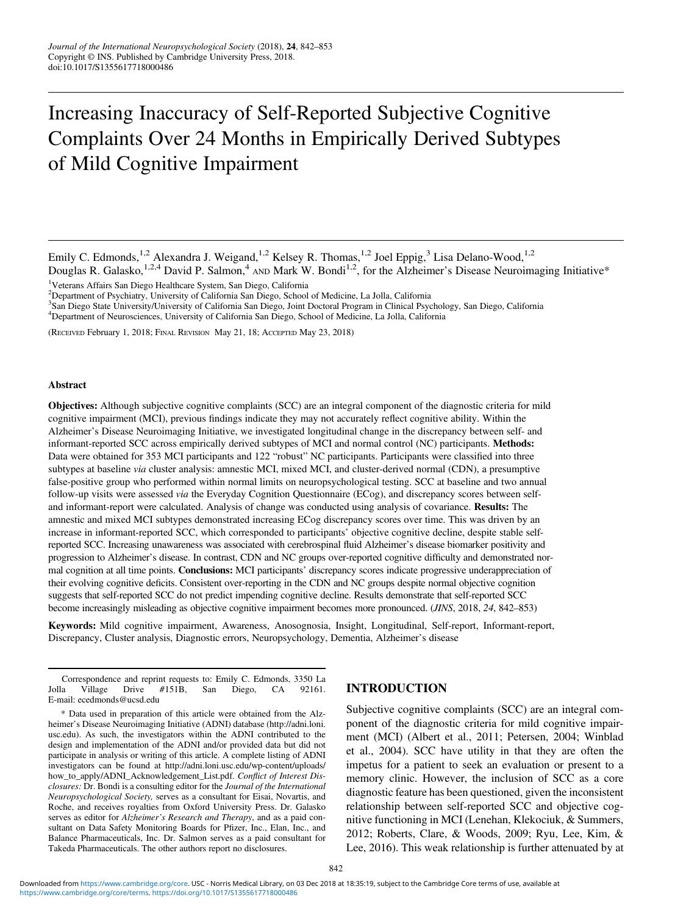# Increasing Inaccuracy of Self-Reported Subjective Cognitive Complaints Over 24 Months in Empirically Derived Subtypes of Mild Cognitive Impairment

Douglas R. Galasko,<sup>1,2,4</sup> David P. Salmon,<sup>4</sup> AND Mark W. Bondi<sup>1,2</sup>, for the Alzheimer's Disease Neuroimaging Initiative\* <sup>1</sup>Veterans Affairs San Diego Healthcare System, San Diego, California

2 Department of Psychiatry, University of California San Diego, School of Medicine, La Jolla, California

3 San Diego State University/University of California San Diego, Joint Doctoral Program in Clinical Psychology, San Diego, California

4 Department of Neurosciences, University of California San Diego, School of Medicine, La Jolla, California

(RECEIVED February 1, 2018; FINAL REVISION May 21, 18; ACCEPTED May 23, 2018)

#### Abstract

Objectives: Although subjective cognitive complaints (SCC) are an integral component of the diagnostic criteria for mild cognitive impairment (MCI), previous findings indicate they may not accurately reflect cognitive ability. Within the Alzheimer's Disease Neuroimaging Initiative, we investigated longitudinal change in the discrepancy between self- and informant-reported SCC across empirically derived subtypes of MCI and normal control (NC) participants. Methods: Data were obtained for 353 MCI participants and 122 "robust" NC participants. Participants were classified into three subtypes at baseline via cluster analysis: amnestic MCI, mixed MCI, and cluster-derived normal (CDN), a presumptive false-positive group who performed within normal limits on neuropsychological testing. SCC at baseline and two annual follow-up visits were assessed via the Everyday Cognition Questionnaire (ECog), and discrepancy scores between selfand informant-report were calculated. Analysis of change was conducted using analysis of covariance. Results: The amnestic and mixed MCI subtypes demonstrated increasing ECog discrepancy scores over time. This was driven by an increase in informant-reported SCC, which corresponded to participants' objective cognitive decline, despite stable selfreported SCC. Increasing unawareness was associated with cerebrospinal fluid Alzheimer's disease biomarker positivity and progression to Alzheimer's disease. In contrast, CDN and NC groups over-reported cognitive difficulty and demonstrated normal cognition at all time points. Conclusions: MCI participants' discrepancy scores indicate progressive underappreciation of their evolving cognitive deficits. Consistent over-reporting in the CDN and NC groups despite normal objective cognition suggests that self-reported SCC do not predict impending cognitive decline. Results demonstrate that self-reported SCC become increasingly misleading as objective cognitive impairment becomes more pronounced. (JINS, 2018, 24, 842–853)

Keywords: Mild cognitive impairment, Awareness, Anosognosia, Insight, Longitudinal, Self-report, Informant-report, Discrepancy, Cluster analysis, Diagnostic errors, Neuropsychology, Dementia, Alzheimer's disease

Correspondence and reprint requests to: Emily C. Edmonds, 3350 La Jolla Village Drive #151B, San Diego, CA 92161. E-mail: [ecedmonds@ucsd.edu](mailto:ecedmonds@ucsd.edu)

\* Data used in preparation of this article were obtained from the Alzheimer's Disease Neuroimaging Initiative (ADNI) database [\(http://adni.loni.](http://adni.loni.usc.edu) [usc.edu\)](http://adni.loni.usc.edu). As such, the investigators within the ADNI contributed to the design and implementation of the ADNI and/or provided data but did not participate in analysis or writing of this article. A complete listing of ADNI investigators can be found at [http://adni.loni.usc.edu/wp-content/uploads/](http://adni.loni.usc.edu/wp-content/uploads/how_to_apply/ADNI_Acknowledgement_List.pdf) [how\\_to\\_apply/ADNI\\_Acknowledgement\\_List.pdf](http://adni.loni.usc.edu/wp-content/uploads/how_to_apply/ADNI_Acknowledgement_List.pdf). Conflict of Interest Disclosures: Dr. Bondi is a consulting editor for the Journal of the International Neuropsychological Society, serves as a consultant for Eisai, Novartis, and Roche, and receives royalties from Oxford University Press. Dr. Galasko serves as editor for Alzheimer's Research and Therapy, and as a paid consultant on Data Safety Monitoring Boards for Pfizer, Inc., Elan, Inc., and Balance Pharmaceuticals, Inc. Dr. Salmon serves as a paid consultant for Takeda Pharmaceuticals. The other authors report no disclosures.

# INTRODUCTION

Subjective cognitive complaints (SCC) are an integral component of the diagnostic criteria for mild cognitive impairment (MCI) (Albert et al., [2011;](#page-9-0) Petersen, [2004](#page-11-0); Winblad et al., [2004](#page-11-0)). SCC have utility in that they are often the impetus for a patient to seek an evaluation or present to a memory clinic. However, the inclusion of SCC as a core diagnostic feature has been questioned, given the inconsistent relationship between self-reported SCC and objective cognitive functioning in MCI (Lenehan, Klekociuk, & Summers, [2012;](#page-11-0) Roberts, Clare, & Woods, [2009;](#page-11-0) Ryu, Lee, Kim, & Lee, [2016](#page-11-0)). This weak relationship is further attenuated by at

Emily C. Edmonds, <sup>1,2</sup> Alexandra J. Weigand, <sup>1,2</sup> Kelsey R. Thomas, <sup>1,2</sup> Joel Eppig, <sup>3</sup> Lisa Delano-Wood, <sup>1,2</sup>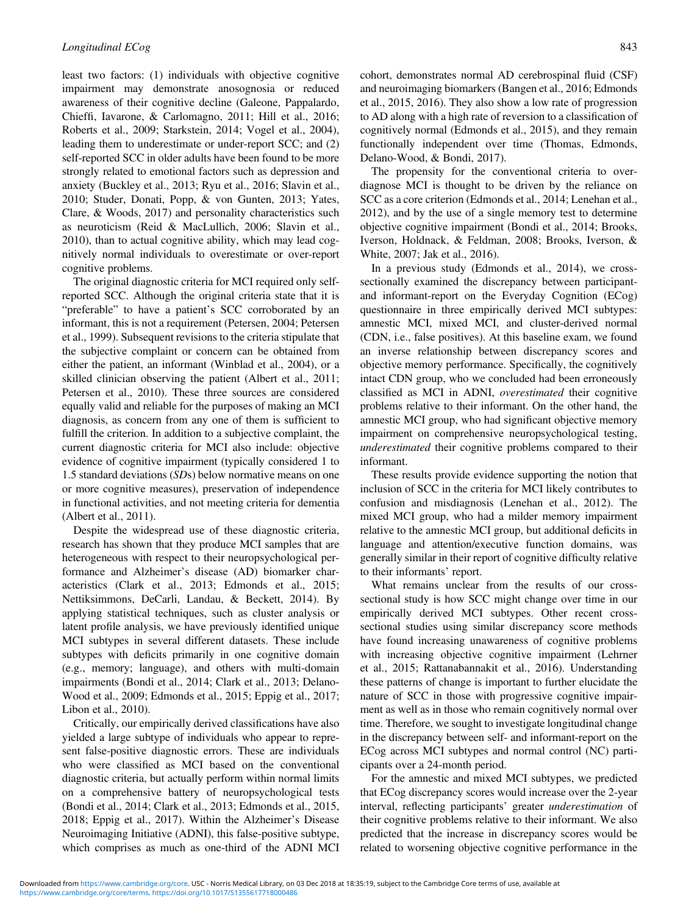least two factors: (1) individuals with objective cognitive impairment may demonstrate anosognosia or reduced awareness of their cognitive decline (Galeone, Pappalardo, Chieffi, Iavarone, & Carlomagno, [2011;](#page-10-0) Hill et al., [2016](#page-10-0); Roberts et al., [2009;](#page-11-0) Starkstein, [2014](#page-11-0); Vogel et al., [2004](#page-11-0)), leading them to underestimate or under-report SCC; and (2) self-reported SCC in older adults have been found to be more strongly related to emotional factors such as depression and anxiety (Buckley et al., [2013](#page-10-0); Ryu et al., [2016;](#page-11-0) Slavin et al., [2010;](#page-11-0) Studer, Donati, Popp, & von Gunten, [2013;](#page-11-0) Yates, Clare, & Woods, [2017](#page-11-0)) and personality characteristics such as neuroticism (Reid & MacLullich, [2006;](#page-11-0) Slavin et al., [2010\)](#page-11-0), than to actual cognitive ability, which may lead cognitively normal individuals to overestimate or over-report cognitive problems.

The original diagnostic criteria for MCI required only selfreported SCC. Although the original criteria state that it is "preferable" to have a patient's SCC corroborated by an informant, this is not a requirement (Petersen, [2004;](#page-11-0) Petersen et al., [1999\)](#page-11-0). Subsequent revisions to the criteria stipulate that the subjective complaint or concern can be obtained from either the patient, an informant (Winblad et al., [2004\)](#page-11-0), or a skilled clinician observing the patient (Albert et al., [2011](#page-9-0); Petersen et al., [2010](#page-11-0)). These three sources are considered equally valid and reliable for the purposes of making an MCI diagnosis, as concern from any one of them is sufficient to fulfill the criterion. In addition to a subjective complaint, the current diagnostic criteria for MCI also include: objective evidence of cognitive impairment (typically considered 1 to 1.5 standard deviations (SDs) below normative means on one or more cognitive measures), preservation of independence in functional activities, and not meeting criteria for dementia (Albert et al., [2011](#page-9-0)).

Despite the widespread use of these diagnostic criteria, research has shown that they produce MCI samples that are heterogeneous with respect to their neuropsychological performance and Alzheimer's disease (AD) biomarker characteristics (Clark et al., [2013;](#page-10-0) Edmonds et al., [2015](#page-10-0); Nettiksimmons, DeCarli, Landau, & Beckett, [2014\)](#page-11-0). By applying statistical techniques, such as cluster analysis or latent profile analysis, we have previously identified unique MCI subtypes in several different datasets. These include subtypes with deficits primarily in one cognitive domain (e.g., memory; language), and others with multi-domain impairments (Bondi et al., [2014](#page-10-0); Clark et al., [2013](#page-10-0); Delano-Wood et al., [2009](#page-10-0); Edmonds et al., [2015](#page-10-0); Eppig et al., [2017](#page-10-0); Libon et al., [2010\)](#page-11-0).

Critically, our empirically derived classifications have also yielded a large subtype of individuals who appear to represent false-positive diagnostic errors. These are individuals who were classified as MCI based on the conventional diagnostic criteria, but actually perform within normal limits on a comprehensive battery of neuropsychological tests (Bondi et al., [2014](#page-10-0); Clark et al., [2013;](#page-10-0) Edmonds et al., [2015](#page-10-0), [2018;](#page-10-0) Eppig et al., [2017](#page-10-0)). Within the Alzheimer's Disease Neuroimaging Initiative (ADNI), this false-positive subtype, which comprises as much as one-third of the ADNI MCI

cohort, demonstrates normal AD cerebrospinal fluid (CSF) and neuroimaging biomarkers (Bangen et al., [2016;](#page-10-0) Edmonds et al., [2015, 2016\)](#page-10-0). They also show a low rate of progression to AD along with a high rate of reversion to a classification of cognitively normal (Edmonds et al., [2015\)](#page-10-0), and they remain functionally independent over time (Thomas, Edmonds, Delano-Wood, & Bondi, [2017\)](#page-11-0).

The propensity for the conventional criteria to overdiagnose MCI is thought to be driven by the reliance on SCC as a core criterion (Edmonds et al., [2014;](#page-10-0) Lenehan et al., [2012\)](#page-11-0), and by the use of a single memory test to determine objective cognitive impairment (Bondi et al., [2014;](#page-10-0) Brooks, Iverson, Holdnack, & Feldman, [2008;](#page-10-0) Brooks, Iverson, & White, [2007](#page-10-0); Jak et al., [2016\)](#page-10-0).

In a previous study (Edmonds et al., [2014\)](#page-10-0), we crosssectionally examined the discrepancy between participantand informant-report on the Everyday Cognition (ECog) questionnaire in three empirically derived MCI subtypes: amnestic MCI, mixed MCI, and cluster-derived normal (CDN, i.e., false positives). At this baseline exam, we found an inverse relationship between discrepancy scores and objective memory performance. Specifically, the cognitively intact CDN group, who we concluded had been erroneously classified as MCI in ADNI, overestimated their cognitive problems relative to their informant. On the other hand, the amnestic MCI group, who had significant objective memory impairment on comprehensive neuropsychological testing, underestimated their cognitive problems compared to their informant.

These results provide evidence supporting the notion that inclusion of SCC in the criteria for MCI likely contributes to confusion and misdiagnosis (Lenehan et al., [2012](#page-11-0)). The mixed MCI group, who had a milder memory impairment relative to the amnestic MCI group, but additional deficits in language and attention/executive function domains, was generally similar in their report of cognitive difficulty relative to their informants' report.

What remains unclear from the results of our crosssectional study is how SCC might change over time in our empirically derived MCI subtypes. Other recent crosssectional studies using similar discrepancy score methods have found increasing unawareness of cognitive problems with increasing objective cognitive impairment (Lehrner et al., [2015;](#page-11-0) Rattanabannakit et al., [2016](#page-11-0)). Understanding these patterns of change is important to further elucidate the nature of SCC in those with progressive cognitive impairment as well as in those who remain cognitively normal over time. Therefore, we sought to investigate longitudinal change in the discrepancy between self- and informant-report on the ECog across MCI subtypes and normal control (NC) participants over a 24-month period.

For the amnestic and mixed MCI subtypes, we predicted that ECog discrepancy scores would increase over the 2-year interval, reflecting participants' greater underestimation of their cognitive problems relative to their informant. We also predicted that the increase in discrepancy scores would be related to worsening objective cognitive performance in the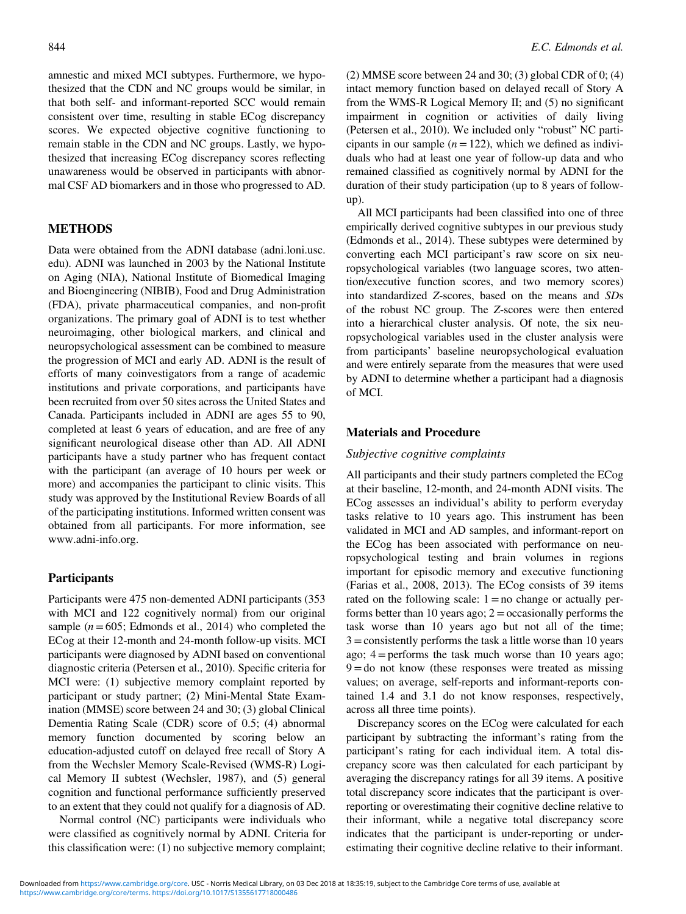amnestic and mixed MCI subtypes. Furthermore, we hypothesized that the CDN and NC groups would be similar, in that both self- and informant-reported SCC would remain consistent over time, resulting in stable ECog discrepancy scores. We expected objective cognitive functioning to remain stable in the CDN and NC groups. Lastly, we hypothesized that increasing ECog discrepancy scores reflecting unawareness would be observed in participants with abnormal CSF AD biomarkers and in those who progressed to AD.

## METHODS

Data were obtained from the ADNI database (adni.loni.usc. edu). ADNI was launched in 2003 by the National Institute on Aging (NIA), National Institute of Biomedical Imaging and Bioengineering (NIBIB), Food and Drug Administration (FDA), private pharmaceutical companies, and non-profit organizations. The primary goal of ADNI is to test whether neuroimaging, other biological markers, and clinical and neuropsychological assessment can be combined to measure the progression of MCI and early AD. ADNI is the result of efforts of many coinvestigators from a range of academic institutions and private corporations, and participants have been recruited from over 50 sites across the United States and Canada. Participants included in ADNI are ages 55 to 90, completed at least 6 years of education, and are free of any significant neurological disease other than AD. All ADNI participants have a study partner who has frequent contact with the participant (an average of 10 hours per week or more) and accompanies the participant to clinic visits. This study was approved by the Institutional Review Boards of all of the participating institutions. Informed written consent was obtained from all participants. For more information, see [www.adni-info.org.](www.adni-info.org)

#### **Participants**

Participants were 475 non-demented ADNI participants (353 with MCI and 122 cognitively normal) from our original sample ( $n = 605$ ; Edmonds et al., [2014\)](#page-10-0) who completed the ECog at their 12-month and 24-month follow-up visits. MCI participants were diagnosed by ADNI based on conventional diagnostic criteria (Petersen et al., [2010\)](#page-11-0). Specific criteria for MCI were: (1) subjective memory complaint reported by participant or study partner; (2) Mini-Mental State Examination (MMSE) score between 24 and 30; (3) global Clinical Dementia Rating Scale (CDR) score of 0.5; (4) abnormal memory function documented by scoring below an education-adjusted cutoff on delayed free recall of Story A from the Wechsler Memory Scale-Revised (WMS-R) Logical Memory II subtest (Wechsler, [1987](#page-11-0)), and (5) general cognition and functional performance sufficiently preserved to an extent that they could not qualify for a diagnosis of AD.

Normal control (NC) participants were individuals who were classified as cognitively normal by ADNI. Criteria for this classification were: (1) no subjective memory complaint;

(2) MMSE score between 24 and 30; (3) global CDR of  $0$ ; (4) intact memory function based on delayed recall of Story A from the WMS-R Logical Memory II; and (5) no significant impairment in cognition or activities of daily living (Petersen et al., [2010\)](#page-11-0). We included only "robust" NC participants in our sample  $(n = 122)$ , which we defined as individuals who had at least one year of follow-up data and who remained classified as cognitively normal by ADNI for the duration of their study participation (up to 8 years of followup).

All MCI participants had been classified into one of three empirically derived cognitive subtypes in our previous study (Edmonds et al., [2014](#page-10-0)). These subtypes were determined by converting each MCI participant's raw score on six neuropsychological variables (two language scores, two attention/executive function scores, and two memory scores) into standardized Z-scores, based on the means and SDs of the robust NC group. The Z-scores were then entered into a hierarchical cluster analysis. Of note, the six neuropsychological variables used in the cluster analysis were from participants' baseline neuropsychological evaluation and were entirely separate from the measures that were used by ADNI to determine whether a participant had a diagnosis of MCI.

#### Materials and Procedure

#### Subjective cognitive complaints

All participants and their study partners completed the ECog at their baseline, 12-month, and 24-month ADNI visits. The ECog assesses an individual's ability to perform everyday tasks relative to 10 years ago. This instrument has been validated in MCI and AD samples, and informant-report on the ECog has been associated with performance on neuropsychological testing and brain volumes in regions important for episodic memory and executive functioning (Farias et al., [2008](#page-10-0), [2013](#page-10-0)). The ECog consists of 39 items rated on the following scale:  $1 = no$  change or actually performs better than 10 years ago;  $2 =$  occasionally performs the task worse than 10 years ago but not all of the time;  $3 =$ consistently performs the task a little worse than 10 years ago;  $4 =$  performs the task much worse than 10 years ago;  $9 =$ do not know (these responses were treated as missing values; on average, self-reports and informant-reports contained 1.4 and 3.1 do not know responses, respectively, across all three time points).

Discrepancy scores on the ECog were calculated for each participant by subtracting the informant's rating from the participant's rating for each individual item. A total discrepancy score was then calculated for each participant by averaging the discrepancy ratings for all 39 items. A positive total discrepancy score indicates that the participant is overreporting or overestimating their cognitive decline relative to their informant, while a negative total discrepancy score indicates that the participant is under-reporting or underestimating their cognitive decline relative to their informant.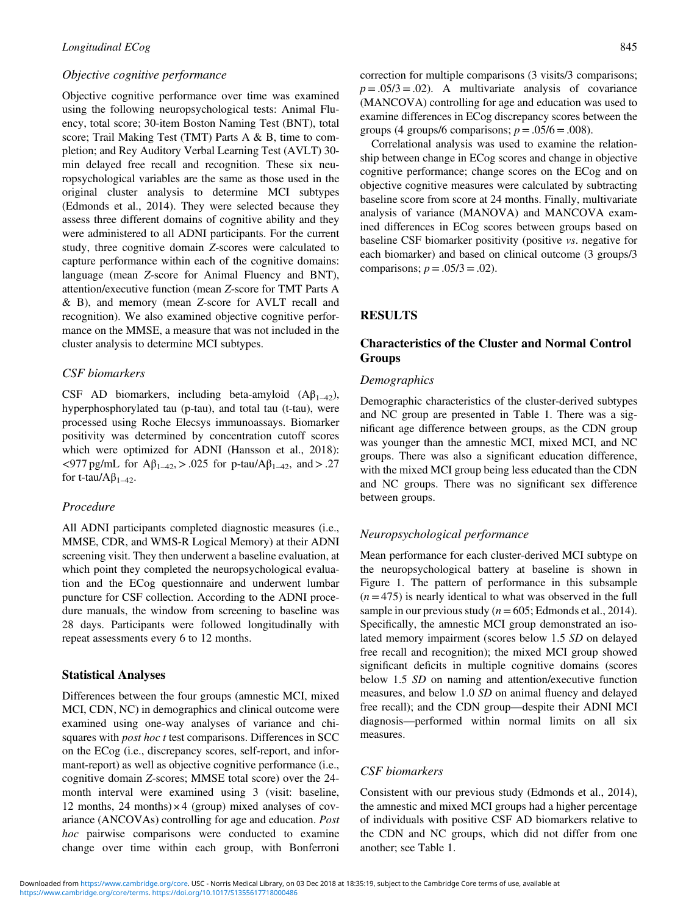## Objective cognitive performance

Objective cognitive performance over time was examined using the following neuropsychological tests: Animal Fluency, total score; 30-item Boston Naming Test (BNT), total score; Trail Making Test (TMT) Parts A & B, time to completion; and Rey Auditory Verbal Learning Test (AVLT) 30 min delayed free recall and recognition. These six neuropsychological variables are the same as those used in the original cluster analysis to determine MCI subtypes (Edmonds et al., [2014\)](#page-10-0). They were selected because they assess three different domains of cognitive ability and they were administered to all ADNI participants. For the current study, three cognitive domain Z-scores were calculated to capture performance within each of the cognitive domains: language (mean Z-score for Animal Fluency and BNT), attention/executive function (mean Z-score for TMT Parts A & B), and memory (mean Z-score for AVLT recall and recognition). We also examined objective cognitive performance on the MMSE, a measure that was not included in the cluster analysis to determine MCI subtypes.

## CSF biomarkers

CSF AD biomarkers, including beta-amyloid  $(A\beta_{1-42})$ , hyperphosphorylated tau (p-tau), and total tau (t-tau), were processed using Roche Elecsys immunoassays. Biomarker positivity was determined by concentration cutoff scores which were optimized for ADNI (Hansson et al., [2018\)](#page-10-0):  $\langle 977 \text{ pg/mL}$  for Aβ<sub>1–42</sub>, > .025 for p-tau/Aβ<sub>1–42</sub>, and > .27 for t-tau/ $A\beta_{1-42}$ .

## Procedure

All ADNI participants completed diagnostic measures (i.e., MMSE, CDR, and WMS-R Logical Memory) at their ADNI screening visit. They then underwent a baseline evaluation, at which point they completed the neuropsychological evaluation and the ECog questionnaire and underwent lumbar puncture for CSF collection. According to the ADNI procedure manuals, the window from screening to baseline was 28 days. Participants were followed longitudinally with repeat assessments every 6 to 12 months.

#### Statistical Analyses

Differences between the four groups (amnestic MCI, mixed MCI, CDN, NC) in demographics and clinical outcome were examined using one-way analyses of variance and chisquares with *post hoc t* test comparisons. Differences in SCC on the ECog (i.e., discrepancy scores, self-report, and informant-report) as well as objective cognitive performance (i.e., cognitive domain Z-scores; MMSE total score) over the 24 month interval were examined using 3 (visit: baseline, 12 months, 24 months) $\times$  4 (group) mixed analyses of covariance (ANCOVAs) controlling for age and education. Post hoc pairwise comparisons were conducted to examine change over time within each group, with Bonferroni

correction for multiple comparisons (3 visits/3 comparisons;  $p = .05/3 = .02$ . A multivariate analysis of covariance (MANCOVA) controlling for age and education was used to examine differences in ECog discrepancy scores between the groups (4 groups/6 comparisons;  $p = .05/6 = .008$ ).

Correlational analysis was used to examine the relationship between change in ECog scores and change in objective cognitive performance; change scores on the ECog and on objective cognitive measures were calculated by subtracting baseline score from score at 24 months. Finally, multivariate analysis of variance (MANOVA) and MANCOVA examined differences in ECog scores between groups based on baseline CSF biomarker positivity (positive vs. negative for each biomarker) and based on clinical outcome (3 groups/3 comparisons;  $p = .05/3 = .02$ ).

# RESULTS

# Characteristics of the Cluster and Normal Control Groups

#### Demographics

Demographic characteristics of the cluster-derived subtypes and NC group are presented in [Table 1.](#page-4-0) There was a significant age difference between groups, as the CDN group was younger than the amnestic MCI, mixed MCI, and NC groups. There was also a significant education difference, with the mixed MCI group being less educated than the CDN and NC groups. There was no significant sex difference between groups.

## Neuropsychological performance

Mean performance for each cluster-derived MCI subtype on the neuropsychological battery at baseline is shown in [Figure 1.](#page-4-0) The pattern of performance in this subsample  $(n = 475)$  is nearly identical to what was observed in the full sample in our previous study ( $n = 605$ ; Edmonds et al., [2014](#page-10-0)). Specifically, the amnestic MCI group demonstrated an isolated memory impairment (scores below 1.5 SD on delayed free recall and recognition); the mixed MCI group showed significant deficits in multiple cognitive domains (scores below 1.5 SD on naming and attention/executive function measures, and below 1.0 SD on animal fluency and delayed free recall); and the CDN group—despite their ADNI MCI diagnosis—performed within normal limits on all six measures.

#### CSF biomarkers

Consistent with our previous study (Edmonds et al., [2014](#page-10-0)), the amnestic and mixed MCI groups had a higher percentage of individuals with positive CSF AD biomarkers relative to the CDN and NC groups, which did not differ from one another; see [Table 1](#page-4-0).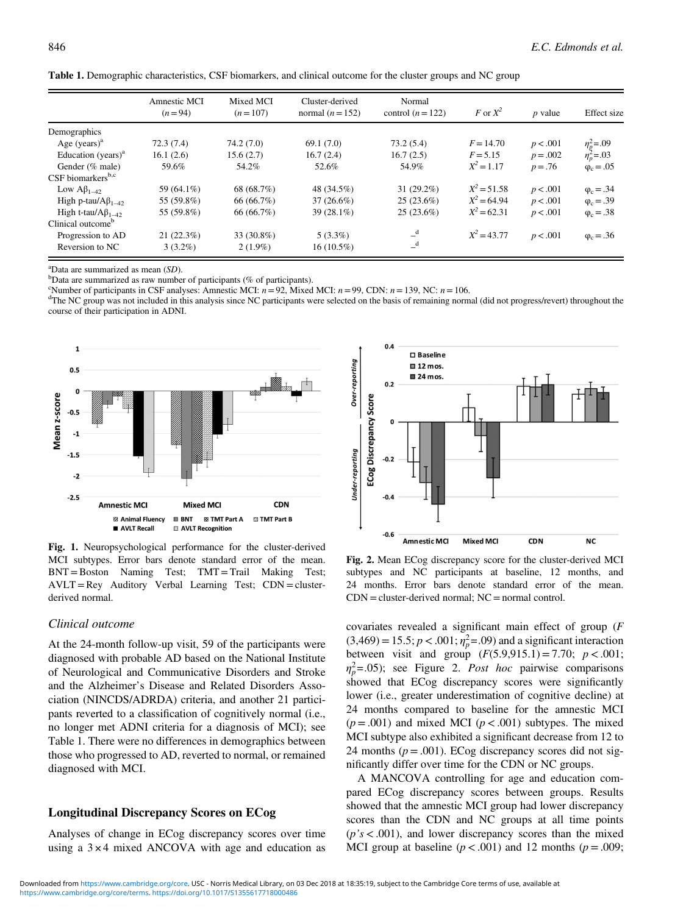|                                 | Amnestic MCI<br>$(n=94)$ | Mixed MCI<br>$(n=107)$ | Cluster-derived<br>normal $(n=152)$ | Normal<br>control $(n = 122)$ | F or $X^2$    | $p$ value  | Effect size                          |
|---------------------------------|--------------------------|------------------------|-------------------------------------|-------------------------------|---------------|------------|--------------------------------------|
| Demographics                    |                          |                        |                                     |                               |               |            |                                      |
| Age $(vears)^a$                 | 72.3(7.4)                | 74.2(7.0)              | 69.1(7.0)                           | 73.2(5.4)                     | $F = 14.70$   | p < .001   |                                      |
| Education (years) $a$           | 16.1(2.6)                | 15.6(2.7)              | 16.7(2.4)                           | 16.7(2.5)                     | $F = 5.15$    | $p = .002$ | $\eta_p^2 = .09$<br>$\eta_n^2 = .03$ |
| Gender (% male)                 | 59.6%                    | 54.2%                  | 52.6%                               | 54.9%                         | $X^2 = 1.17$  | $p = .76$  | $\varphi_c = .05$                    |
| $CSF$ biomarkers <sup>b,c</sup> |                          |                        |                                     |                               |               |            |                                      |
| Low $A\beta_{1-42}$             | 59 (64.1%)               | 68 (68.7%)             | 48 (34.5%)                          | $31(29.2\%)$                  | $X^2 = 51.58$ | p < .001   | $\varphi_c = .34$                    |
| High p-tau/ $A\beta_{1-42}$     | 55 (59.8%)               | 66 (66.7%)             | $37(26.6\%)$                        | 25(23.6%)                     | $X^2 = 64.94$ | p < .001   | $\varphi_c = .39$                    |
| High t-tau/ $A\beta_{1-42}$     | 55 (59.8%)               | 66 (66.7%)             | $39(28.1\%)$                        | 25(23.6%)                     | $X^2 = 62.31$ | p < .001   | $\varphi_c = .38$                    |
| Clinical outcome <sup>b</sup>   |                          |                        |                                     |                               |               |            |                                      |
| Progression to AD               | 21(22.3%)                | 33 (30.8%)             | $5(3.3\%)$                          | $-$ <sup>d</sup>              | $X^2 = 43.77$ | p < .001   | $\varphi_c = .36$                    |
| Reversion to NC                 | $3(3.2\%)$               | $2(1.9\%)$             | 16 (10.5%)                          | $\mathbf{d}$                  |               |            |                                      |

<span id="page-4-0"></span>

| Table 1. Demographic characteristics, CSF biomarkers, and clinical outcome for the cluster groups and NC group |  |  |
|----------------------------------------------------------------------------------------------------------------|--|--|
|                                                                                                                |  |  |

<sup>a</sup>Data are summarized as mean  $(SD)$ .

 $b$ Data are summarized as raw number of participants (% of participants).

"Number of participants in CSF analyses: Amnestic MCI:  $n = 92$ , Mixed MCI:  $n = 99$ , CDN:  $n = 139$ , NC:  $n = 106$ .

<sup>d</sup>The NC group was not included in this analysis since NC participants were selected on the basis of remaining normal (did not progress/revert) throughout the course of their participation in ADNI.



Fig. 1. Neuropsychological performance for the cluster-derived MCI subtypes. Error bars denote standard error of the mean. BNT=Boston Naming Test; TMT =Trail Making Test; AVLT =Rey Auditory Verbal Learning Test; CDN = clusterderived normal.

#### Clinical outcome

At the 24-month follow-up visit, 59 of the participants were diagnosed with probable AD based on the National Institute of Neurological and Communicative Disorders and Stroke and the Alzheimer's Disease and Related Disorders Association (NINCDS/ADRDA) criteria, and another 21 participants reverted to a classification of cognitively normal (i.e., no longer met ADNI criteria for a diagnosis of MCI); see Table 1. There were no differences in demographics between those who progressed to AD, reverted to normal, or remained diagnosed with MCI.

## Longitudinal Discrepancy Scores on ECog

Analyses of change in ECog discrepancy scores over time using a  $3 \times 4$  mixed ANCOVA with age and education as



Fig. 2. Mean ECog discrepancy score for the cluster-derived MCI subtypes and NC participants at baseline, 12 months, and 24 months. Error bars denote standard error of the mean.  $CDN = cluster-derived normal; NC = normal control.$ 

covariates revealed a significant main effect of group (F  $(3,469) = 15.5; p < .001; \eta_p^2 = .09$  and a significant interaction between visit and group  $(F(5.9, 915.1) = 7.70; p < .001;$  $\eta_p^2$ =.05); see Figure 2. *Post hoc* pairwise comparisons showed that ECog discrepancy scores were significantly lower (i.e., greater underestimation of cognitive decline) at 24 months compared to baseline for the amnestic MCI  $(p=.001)$  and mixed MCI  $(p < .001)$  subtypes. The mixed MCI subtype also exhibited a significant decrease from 12 to 24 months ( $p = .001$ ). ECog discrepancy scores did not significantly differ over time for the CDN or NC groups.

A MANCOVA controlling for age and education compared ECog discrepancy scores between groups. Results showed that the amnestic MCI group had lower discrepancy scores than the CDN and NC groups at all time points  $(p's < .001)$ , and lower discrepancy scores than the mixed MCI group at baseline  $(p < .001)$  and 12 months  $(p = .009; )$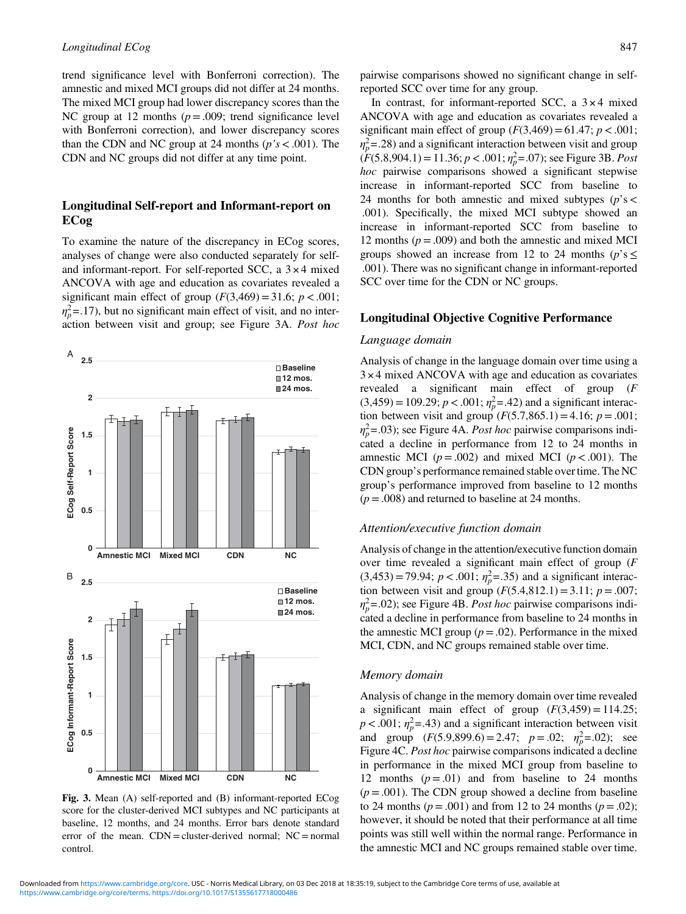trend significance level with Bonferroni correction). The amnestic and mixed MCI groups did not differ at 24 months. The mixed MCI group had lower discrepancy scores than the NC group at 12 months  $(p=.009;$  trend significance level with Bonferroni correction), and lower discrepancy scores than the CDN and NC group at 24 months ( $p's < .001$ ). The CDN and NC groups did not differ at any time point.

# Longitudinal Self-report and Informant-report on ECog

To examine the nature of the discrepancy in ECog scores, analyses of change were also conducted separately for selfand informant-report. For self-reported SCC, a  $3 \times 4$  mixed ANCOVA with age and education as covariates revealed a significant main effect of group  $(F(3,469) = 31.6; p < .001;$  $\eta_p^2$ =.17), but no significant main effect of visit, and no interaction between visit and group; see Figure 3A. Post hoc



Fig. 3. Mean (A) self-reported and (B) informant-reported ECog score for the cluster-derived MCI subtypes and NC participants at baseline, 12 months, and 24 months. Error bars denote standard error of the mean.  $CDN =$  cluster-derived normal;  $NC =$  normal control.

pairwise comparisons showed no significant change in selfreported SCC over time for any group.

In contrast, for informant-reported SCC, a  $3 \times 4$  mixed ANCOVA with age and education as covariates revealed a significant main effect of group  $(F(3,469)=61.47; p < .001;$  $\eta_p^2$ =.28) and a significant interaction between visit and group  $(F(5.8, 904.1) = 11.36; p < .001; \eta_p^2 = .07)$ ; see Figure 3B. *Post* hoc pairwise comparisons showed a significant stepwise increase in informant-reported SCC from baseline to 24 months for both amnestic and mixed subtypes ( $p$ 's < .001). Specifically, the mixed MCI subtype showed an increase in informant-reported SCC from baseline to 12 months ( $p = .009$ ) and both the amnestic and mixed MCI groups showed an increase from 12 to 24 months ( $p$ 's  $\leq$ .001). There was no significant change in informant-reported SCC over time for the CDN or NC groups.

## Longitudinal Objective Cognitive Performance

#### Language domain

Analysis of change in the language domain over time using a 3 × 4 mixed ANCOVA with age and education as covariates revealed a significant main effect of group (F  $(3,459) = 109.29$ ;  $p < .001$ ;  $\eta_p^2 = .42$ ) and a significant interaction between visit and group  $(F(5.7, 865.1) = 4.16; p = .001;$  $\eta_p^2$ =.03); see [Figure 4A](#page-6-0). *Post hoc* pairwise comparisons indicated a decline in performance from 12 to 24 months in amnestic MCI ( $p = .002$ ) and mixed MCI ( $p < .001$ ). The CDN group's performance remained stable over time. The NC group's performance improved from baseline to 12 months  $(p = .008)$  and returned to baseline at 24 months.

#### Attention/executive function domain

Analysis of change in the attention/executive function domain over time revealed a significant main effect of group (F  $(3,453) = 79.94$ ;  $p < .001$ ;  $\eta_p^2 = .35$ ) and a significant interaction between visit and group  $(F(5.4,812.1) = 3.11; p = .007;$  $\eta_p^2$ =.02); see [Figure 4B](#page-6-0). *Post hoc* pairwise comparisons indicated a decline in performance from baseline to 24 months in the amnestic MCI group ( $p = .02$ ). Performance in the mixed MCI, CDN, and NC groups remained stable over time.

#### Memory domain

Analysis of change in the memory domain over time revealed a significant main effect of group  $(F(3,459) = 114.25;$  $p < .001$ ;  $\eta_p^2 = .43$ ) and a significant interaction between visit and group  $(F(5.9,899.6) = 2.47; p = .02; \eta_p^2 = .02)$ ; see [Figure 4C](#page-6-0). Post hoc pairwise comparisons indicated a decline in performance in the mixed MCI group from baseline to 12 months  $(p=.01)$  and from baseline to 24 months  $(p = .001)$ . The CDN group showed a decline from baseline to 24 months ( $p = .001$ ) and from 12 to 24 months ( $p = .02$ ); however, it should be noted that their performance at all time points was still well within the normal range. Performance in the amnestic MCI and NC groups remained stable over time.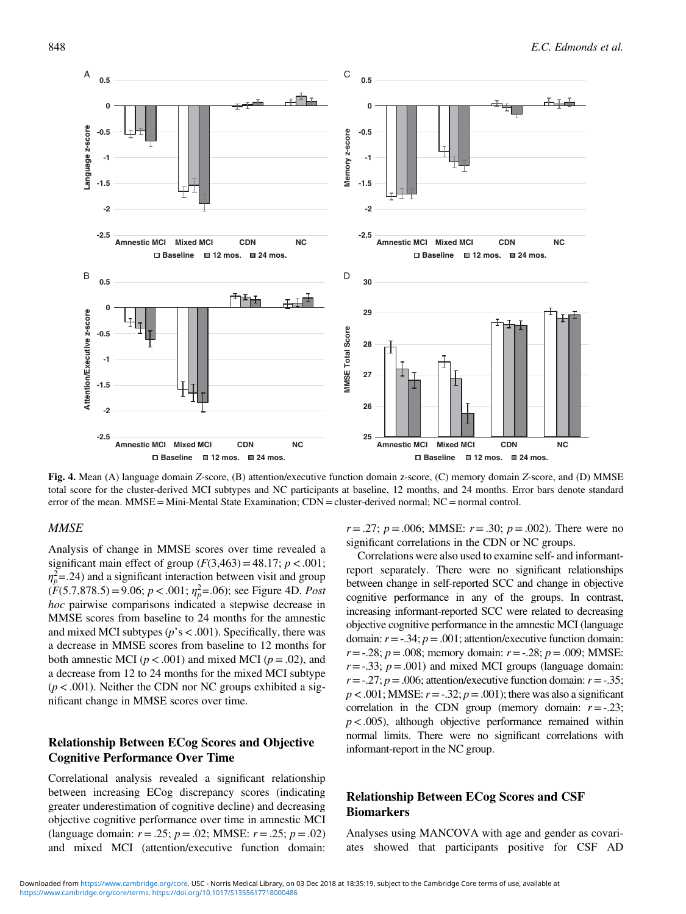<span id="page-6-0"></span>

Fig. 4. Mean (A) language domain Z-score, (B) attention/executive function domain z-score, (C) memory domain Z-score, and (D) MMSE total score for the cluster-derived MCI subtypes and NC participants at baseline, 12 months, and 24 months. Error bars denote standard error of the mean. MMSE = Mini-Mental State Examination; CDN = cluster-derived normal; NC = normal control.

## **MMSE**

Analysis of change in MMSE scores over time revealed a significant main effect of group  $(F(3,463) = 48.17; p < .001;$  $\eta_p^2$ =.24) and a significant interaction between visit and group  $(F(5.7,878.5) = 9.06; p < .001; \eta_p^2 = .06)$ ; see Figure 4D. *Post* hoc pairwise comparisons indicated a stepwise decrease in MMSE scores from baseline to 24 months for the amnestic and mixed MCI subtypes ( $p$ 's < .001). Specifically, there was a decrease in MMSE scores from baseline to 12 months for both amnestic MCI ( $p < .001$ ) and mixed MCI ( $p = .02$ ), and a decrease from 12 to 24 months for the mixed MCI subtype  $(p < .001)$ . Neither the CDN nor NC groups exhibited a significant change in MMSE scores over time.

# Relationship Between ECog Scores and Objective Cognitive Performance Over Time

Correlational analysis revealed a significant relationship between increasing ECog discrepancy scores (indicating greater underestimation of cognitive decline) and decreasing objective cognitive performance over time in amnestic MCI (language domain:  $r = .25$ ;  $p = .02$ ; MMSE:  $r = .25$ ;  $p = .02$ ) and mixed MCI (attention/executive function domain:

 $r = .27$ ;  $p = .006$ ; MMSE:  $r = .30$ ;  $p = .002$ ). There were no significant correlations in the CDN or NC groups.

Correlations were also used to examine self- and informantreport separately. There were no significant relationships between change in self-reported SCC and change in objective cognitive performance in any of the groups. In contrast, increasing informant-reported SCC were related to decreasing objective cognitive performance in the amnestic MCI (language domain:  $r = -0.34$ ;  $p = 0.001$ ; attention/executive function domain:  $r = -0.28$ ;  $p = 0.008$ ; memory domain:  $r = -0.28$ ;  $p = 0.009$ ; MMSE:  $r=-.33$ ;  $p=.001$ ) and mixed MCI groups (language domain:  $r = -0.27$ ;  $p = 0.006$ ; attention/executive function domain:  $r = -0.35$ ;  $p < .001$ ; MMSE:  $r = -.32$ ;  $p = .001$ ); there was also a significant correlation in the CDN group (memory domain:  $r = -.23$ ;  $p < .005$ ), although objective performance remained within normal limits. There were no significant correlations with informant-report in the NC group.

# Relationship Between ECog Scores and CSF **Biomarkers**

Analyses using MANCOVA with age and gender as covariates showed that participants positive for CSF AD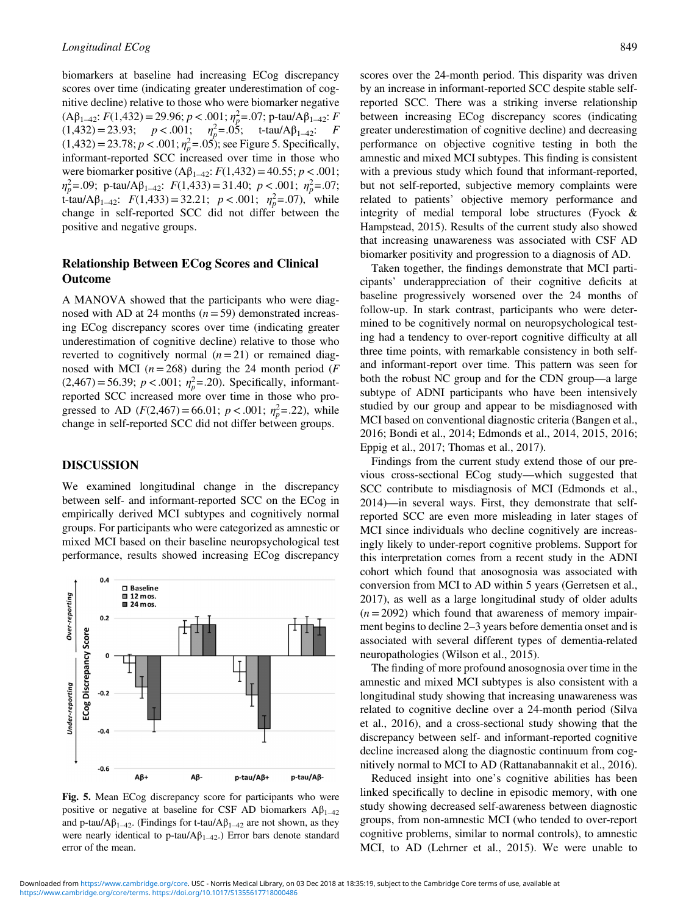biomarkers at baseline had increasing ECog discrepancy scores over time (indicating greater underestimation of cognitive decline) relative to those who were biomarker negative  $(A\beta_{1\rightarrow 2}; F(1,432) = 29.96; p < .001; \eta_p^2 = .07; p$ -tau/ $A\beta_{1\rightarrow 2}; F$  $(1,432) = 23.93;$   $p < .001;$   $\eta_p^2 = .05;$  t-tau/A $\beta_{1-42}:$  F  $(1,432) = 23.78; p < .001; \eta_p^2 = .05$ ; see Figure 5. Specifically, informant-reported SCC increased over time in those who were biomarker positive  $(A\beta_{1-42}: F(1,432) = 40.55; p < .001;$  $\eta_p^2$ =.09; p-tau/A $\beta_{1-42}$ :  $F(1,433)$ =31.40;  $p < .001$ ;  $\eta_p^2$ =.07; t-tau/A $\beta_{1-42}$ :  $F(1,433) = 32.21$ ;  $p < .001$ ;  $\eta_p^2 = .07$ ), while change in self-reported SCC did not differ between the positive and negative groups.

# Relationship Between ECog Scores and Clinical Outcome

A MANOVA showed that the participants who were diagnosed with AD at 24 months  $(n= 59)$  demonstrated increasing ECog discrepancy scores over time (indicating greater underestimation of cognitive decline) relative to those who reverted to cognitively normal  $(n=21)$  or remained diagnosed with MCI ( $n = 268$ ) during the 24 month period (F)  $(2,467) = 56.39$ ;  $p < .001$ ;  $\eta_p^2 = .20$ ). Specifically, informantreported SCC increased more over time in those who progressed to AD ( $F(2,467) = 66.01$ ;  $p < .001$ ;  $\eta_p^2 = .22$ ), while change in self-reported SCC did not differ between groups.

#### DISCUSSION

We examined longitudinal change in the discrepancy between self- and informant-reported SCC on the ECog in empirically derived MCI subtypes and cognitively normal groups. For participants who were categorized as amnestic or mixed MCI based on their baseline neuropsychological test performance, results showed increasing ECog discrepancy



Fig. 5. Mean ECog discrepancy score for participants who were positive or negative at baseline for CSF AD biomarkers  $A\beta_{1-42}$ and p-tau/A $\beta_{1-42}$ . (Findings for t-tau/A $\beta_{1-42}$  are not shown, as they were nearly identical to p-tau/ $A\beta_{1-42}$ .) Error bars denote standard error of the mean.

scores over the 24-month period. This disparity was driven by an increase in informant-reported SCC despite stable selfreported SCC. There was a striking inverse relationship between increasing ECog discrepancy scores (indicating greater underestimation of cognitive decline) and decreasing performance on objective cognitive testing in both the amnestic and mixed MCI subtypes. This finding is consistent with a previous study which found that informant-reported, but not self-reported, subjective memory complaints were related to patients' objective memory performance and integrity of medial temporal lobe structures (Fyock & Hampstead, [2015\)](#page-10-0). Results of the current study also showed that increasing unawareness was associated with CSF AD biomarker positivity and progression to a diagnosis of AD.

Taken together, the findings demonstrate that MCI participants' underappreciation of their cognitive deficits at baseline progressively worsened over the 24 months of follow-up. In stark contrast, participants who were determined to be cognitively normal on neuropsychological testing had a tendency to over-report cognitive difficulty at all three time points, with remarkable consistency in both selfand informant-report over time. This pattern was seen for both the robust NC group and for the CDN group—a large subtype of ADNI participants who have been intensively studied by our group and appear to be misdiagnosed with MCI based on conventional diagnostic criteria (Bangen et al., [2016;](#page-10-0) Bondi et al., [2014;](#page-10-0) Edmonds et al., [2014, 2015](#page-10-0), [2016](#page-10-0); Eppig et al., [2017;](#page-10-0) Thomas et al., [2017](#page-11-0)).

Findings from the current study extend those of our previous cross-sectional ECog study—which suggested that SCC contribute to misdiagnosis of MCI (Edmonds et al., [2014\)](#page-10-0)—in several ways. First, they demonstrate that selfreported SCC are even more misleading in later stages of MCI since individuals who decline cognitively are increasingly likely to under-report cognitive problems. Support for this interpretation comes from a recent study in the ADNI cohort which found that anosognosia was associated with conversion from MCI to AD within 5 years (Gerretsen et al., [2017\)](#page-10-0), as well as a large longitudinal study of older adults  $(n = 2092)$  which found that awareness of memory impairment begins to decline 2–3 years before dementia onset and is associated with several different types of dementia-related neuropathologies (Wilson et al., [2015\)](#page-11-0).

The finding of more profound anosognosia over time in the amnestic and mixed MCI subtypes is also consistent with a longitudinal study showing that increasing unawareness was related to cognitive decline over a 24-month period (Silva et al., [2016\)](#page-11-0), and a cross-sectional study showing that the discrepancy between self- and informant-reported cognitive decline increased along the diagnostic continuum from cognitively normal to MCI to AD (Rattanabannakit et al., [2016](#page-11-0)).

Reduced insight into one's cognitive abilities has been linked specifically to decline in episodic memory, with one study showing decreased self-awareness between diagnostic groups, from non-amnestic MCI (who tended to over-report cognitive problems, similar to normal controls), to amnestic MCI, to AD (Lehrner et al., [2015\)](#page-11-0). We were unable to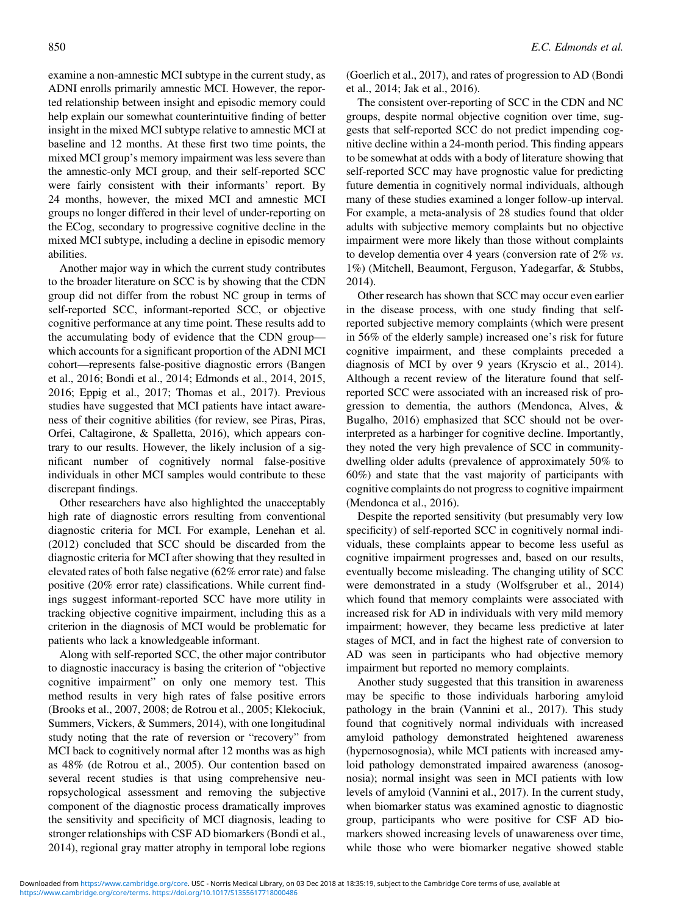examine a non-amnestic MCI subtype in the current study, as ADNI enrolls primarily amnestic MCI. However, the reported relationship between insight and episodic memory could help explain our somewhat counterintuitive finding of better insight in the mixed MCI subtype relative to amnestic MCI at baseline and 12 months. At these first two time points, the mixed MCI group's memory impairment was less severe than the amnestic-only MCI group, and their self-reported SCC were fairly consistent with their informants' report. By 24 months, however, the mixed MCI and amnestic MCI groups no longer differed in their level of under-reporting on the ECog, secondary to progressive cognitive decline in the mixed MCI subtype, including a decline in episodic memory abilities.

Another major way in which the current study contributes to the broader literature on SCC is by showing that the CDN group did not differ from the robust NC group in terms of self-reported SCC, informant-reported SCC, or objective cognitive performance at any time point. These results add to the accumulating body of evidence that the CDN group which accounts for a significant proportion of the ADNI MCI cohort—represents false-positive diagnostic errors (Bangen et al., [2016;](#page-10-0) Bondi et al., [2014;](#page-10-0) Edmonds et al., [2014](#page-10-0), [2015](#page-10-0), [2016;](#page-10-0) Eppig et al., [2017](#page-10-0); Thomas et al., [2017](#page-11-0)). Previous studies have suggested that MCI patients have intact awareness of their cognitive abilities (for review, see Piras, Piras, Orfei, Caltagirone, & Spalletta, [2016](#page-11-0)), which appears contrary to our results. However, the likely inclusion of a significant number of cognitively normal false-positive individuals in other MCI samples would contribute to these discrepant findings.

Other researchers have also highlighted the unacceptably high rate of diagnostic errors resulting from conventional diagnostic criteria for MCI. For example, Lenehan et al. [\(2012\)](#page-11-0) concluded that SCC should be discarded from the diagnostic criteria for MCI after showing that they resulted in elevated rates of both false negative (62% error rate) and false positive (20% error rate) classifications. While current findings suggest informant-reported SCC have more utility in tracking objective cognitive impairment, including this as a criterion in the diagnosis of MCI would be problematic for patients who lack a knowledgeable informant.

Along with self-reported SCC, the other major contributor to diagnostic inaccuracy is basing the criterion of "objective cognitive impairment" on only one memory test. This method results in very high rates of false positive errors (Brooks et al., [2007](#page-10-0), [2008;](#page-10-0) de Rotrou et al., [2005](#page-10-0); Klekociuk, Summers, Vickers, & Summers, [2014](#page-10-0)), with one longitudinal study noting that the rate of reversion or "recovery" from MCI back to cognitively normal after 12 months was as high as 48% (de Rotrou et al., [2005\)](#page-10-0). Our contention based on several recent studies is that using comprehensive neuropsychological assessment and removing the subjective component of the diagnostic process dramatically improves the sensitivity and specificity of MCI diagnosis, leading to stronger relationships with CSF AD biomarkers (Bondi et al., [2014\)](#page-10-0), regional gray matter atrophy in temporal lobe regions

(Goerlich et al., [2017\)](#page-10-0), and rates of progression to AD (Bondi et al., [2014](#page-10-0); Jak et al., [2016](#page-10-0)).

The consistent over-reporting of SCC in the CDN and NC groups, despite normal objective cognition over time, suggests that self-reported SCC do not predict impending cognitive decline within a 24-month period. This finding appears to be somewhat at odds with a body of literature showing that self-reported SCC may have prognostic value for predicting future dementia in cognitively normal individuals, although many of these studies examined a longer follow-up interval. For example, a meta-analysis of 28 studies found that older adults with subjective memory complaints but no objective impairment were more likely than those without complaints to develop dementia over 4 years (conversion rate of 2% vs. 1%) (Mitchell, Beaumont, Ferguson, Yadegarfar, & Stubbs, [2014\)](#page-11-0).

Other research has shown that SCC may occur even earlier in the disease process, with one study finding that selfreported subjective memory complaints (which were present in 56% of the elderly sample) increased one's risk for future cognitive impairment, and these complaints preceded a diagnosis of MCI by over 9 years (Kryscio et al., [2014](#page-10-0)). Although a recent review of the literature found that selfreported SCC were associated with an increased risk of progression to dementia, the authors (Mendonca, Alves, & Bugalho, [2016\)](#page-11-0) emphasized that SCC should not be overinterpreted as a harbinger for cognitive decline. Importantly, they noted the very high prevalence of SCC in communitydwelling older adults (prevalence of approximately 50% to 60%) and state that the vast majority of participants with cognitive complaints do not progress to cognitive impairment (Mendonca et al., [2016](#page-11-0)).

Despite the reported sensitivity (but presumably very low specificity) of self-reported SCC in cognitively normal individuals, these complaints appear to become less useful as cognitive impairment progresses and, based on our results, eventually become misleading. The changing utility of SCC were demonstrated in a study (Wolfsgruber et al., [2014\)](#page-11-0) which found that memory complaints were associated with increased risk for AD in individuals with very mild memory impairment; however, they became less predictive at later stages of MCI, and in fact the highest rate of conversion to AD was seen in participants who had objective memory impairment but reported no memory complaints.

Another study suggested that this transition in awareness may be specific to those individuals harboring amyloid pathology in the brain (Vannini et al., [2017\)](#page-11-0). This study found that cognitively normal individuals with increased amyloid pathology demonstrated heightened awareness (hypernosognosia), while MCI patients with increased amyloid pathology demonstrated impaired awareness (anosognosia); normal insight was seen in MCI patients with low levels of amyloid (Vannini et al., [2017](#page-11-0)). In the current study, when biomarker status was examined agnostic to diagnostic group, participants who were positive for CSF AD biomarkers showed increasing levels of unawareness over time, while those who were biomarker negative showed stable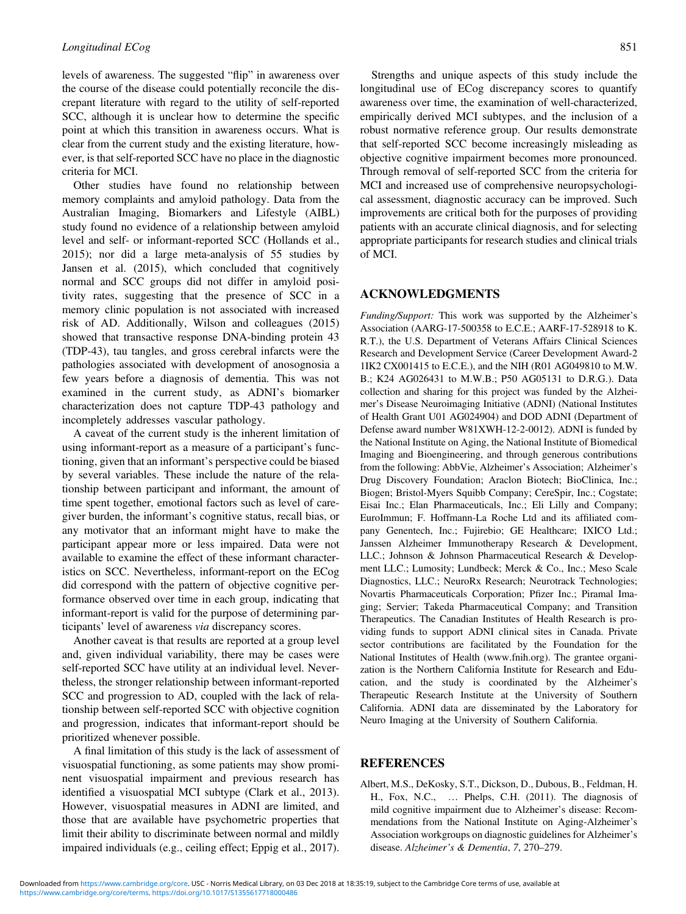<span id="page-9-0"></span>levels of awareness. The suggested "flip" in awareness over the course of the disease could potentially reconcile the discrepant literature with regard to the utility of self-reported SCC, although it is unclear how to determine the specific point at which this transition in awareness occurs. What is clear from the current study and the existing literature, however, is that self-reported SCC have no place in the diagnostic criteria for MCI.

Other studies have found no relationship between memory complaints and amyloid pathology. Data from the Australian Imaging, Biomarkers and Lifestyle (AIBL) study found no evidence of a relationship between amyloid level and self- or informant-reported SCC (Hollands et al., [2015\)](#page-10-0); nor did a large meta-analysis of 55 studies by Jansen et al. ([2015\)](#page-10-0), which concluded that cognitively normal and SCC groups did not differ in amyloid positivity rates, suggesting that the presence of SCC in a memory clinic population is not associated with increased risk of AD. Additionally, Wilson and colleagues (2015) showed that transactive response DNA-binding protein 43 (TDP-43), tau tangles, and gross cerebral infarcts were the pathologies associated with development of anosognosia a few years before a diagnosis of dementia. This was not examined in the current study, as ADNI's biomarker characterization does not capture TDP-43 pathology and incompletely addresses vascular pathology.

A caveat of the current study is the inherent limitation of using informant-report as a measure of a participant's functioning, given that an informant's perspective could be biased by several variables. These include the nature of the relationship between participant and informant, the amount of time spent together, emotional factors such as level of caregiver burden, the informant's cognitive status, recall bias, or any motivator that an informant might have to make the participant appear more or less impaired. Data were not available to examine the effect of these informant characteristics on SCC. Nevertheless, informant-report on the ECog did correspond with the pattern of objective cognitive performance observed over time in each group, indicating that informant-report is valid for the purpose of determining participants' level of awareness via discrepancy scores.

Another caveat is that results are reported at a group level and, given individual variability, there may be cases were self-reported SCC have utility at an individual level. Nevertheless, the stronger relationship between informant-reported SCC and progression to AD, coupled with the lack of relationship between self-reported SCC with objective cognition and progression, indicates that informant-report should be prioritized whenever possible.

A final limitation of this study is the lack of assessment of visuospatial functioning, as some patients may show prominent visuospatial impairment and previous research has identified a visuospatial MCI subtype (Clark et al., [2013](#page-10-0)). However, visuospatial measures in ADNI are limited, and those that are available have psychometric properties that limit their ability to discriminate between normal and mildly impaired individuals (e.g., ceiling effect; Eppig et al., 2017).

Strengths and unique aspects of this study include the longitudinal use of ECog discrepancy scores to quantify awareness over time, the examination of well-characterized, empirically derived MCI subtypes, and the inclusion of a robust normative reference group. Our results demonstrate that self-reported SCC become increasingly misleading as objective cognitive impairment becomes more pronounced. Through removal of self-reported SCC from the criteria for MCI and increased use of comprehensive neuropsychological assessment, diagnostic accuracy can be improved. Such improvements are critical both for the purposes of providing patients with an accurate clinical diagnosis, and for selecting appropriate participants for research studies and clinical trials of MCI.

## ACKNOWLEDGMENTS

Funding/Support: This work was supported by the Alzheimer's Association (AARG-17-500358 to E.C.E.; AARF-17-528918 to K. R.T.), the U.S. Department of Veterans Affairs Clinical Sciences Research and Development Service (Career Development Award-2 1IK2 CX001415 to E.C.E.), and the NIH (R01 AG049810 to M.W. B.; K24 AG026431 to M.W.B.; P50 AG05131 to D.R.G.). Data collection and sharing for this project was funded by the Alzheimer's Disease Neuroimaging Initiative (ADNI) (National Institutes of Health Grant U01 AG024904) and DOD ADNI (Department of Defense award number W81XWH-12-2-0012). ADNI is funded by the National Institute on Aging, the National Institute of Biomedical Imaging and Bioengineering, and through generous contributions from the following: AbbVie, Alzheimer's Association; Alzheimer's Drug Discovery Foundation; Araclon Biotech; BioClinica, Inc.; Biogen; Bristol-Myers Squibb Company; CereSpir, Inc.; Cogstate; Eisai Inc.; Elan Pharmaceuticals, Inc.; Eli Lilly and Company; EuroImmun; F. Hoffmann-La Roche Ltd and its affiliated company Genentech, Inc.; Fujirebio; GE Healthcare; IXICO Ltd.; Janssen Alzheimer Immunotherapy Research & Development, LLC.; Johnson & Johnson Pharmaceutical Research & Development LLC.; Lumosity; Lundbeck; Merck & Co., Inc.; Meso Scale Diagnostics, LLC.; NeuroRx Research; Neurotrack Technologies; Novartis Pharmaceuticals Corporation; Pfizer Inc.; Piramal Imaging; Servier; Takeda Pharmaceutical Company; and Transition Therapeutics. The Canadian Institutes of Health Research is providing funds to support ADNI clinical sites in Canada. Private sector contributions are facilitated by the Foundation for the National Institutes of Health ([www.fnih.org\)](www.fnih.org). The grantee organization is the Northern California Institute for Research and Education, and the study is coordinated by the Alzheimer's Therapeutic Research Institute at the University of Southern California. ADNI data are disseminated by the Laboratory for Neuro Imaging at the University of Southern California.

#### REFERENCES

Albert, M.S., DeKosky, S.T., Dickson, D., Dubous, B., Feldman, H. H., Fox, N.C., … Phelps, C.H. (2011). The diagnosis of mild cognitive impairment due to Alzheimer's disease: Recommendations from the National Institute on Aging-Alzheimer's Association workgroups on diagnostic guidelines for Alzheimer's disease. Alzheimer's & Dementia, 7, 270–279.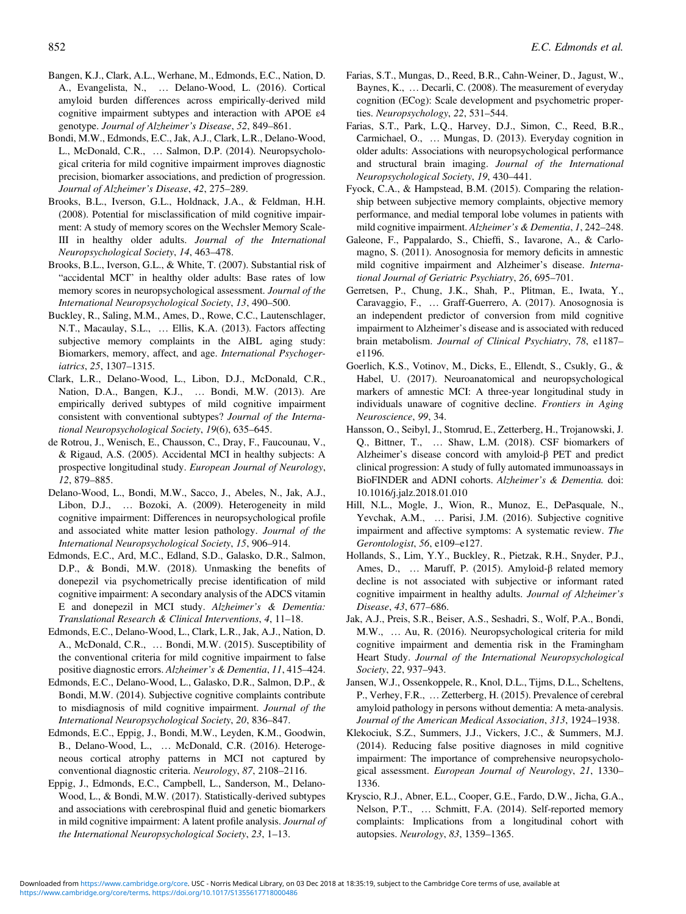- <span id="page-10-0"></span>Bangen, K.J., Clark, A.L., Werhane, M., Edmonds, E.C., Nation, D. A., Evangelista, N., … Delano-Wood, L. (2016). Cortical amyloid burden differences across empirically-derived mild cognitive impairment subtypes and interaction with APOE ε4 genotype. Journal of Alzheimer's Disease, 52, 849–861.
- Bondi, M.W., Edmonds, E.C., Jak, A.J., Clark, L.R., Delano-Wood, L., McDonald, C.R., … Salmon, D.P. (2014). Neuropsychological criteria for mild cognitive impairment improves diagnostic precision, biomarker associations, and prediction of progression. Journal of Alzheimer's Disease, 42, 275–289.
- Brooks, B.L., Iverson, G.L., Holdnack, J.A., & Feldman, H.H. (2008). Potential for misclassification of mild cognitive impairment: A study of memory scores on the Wechsler Memory Scale-III in healthy older adults. Journal of the International Neuropsychological Society, 14, 463–478.
- Brooks, B.L., Iverson, G.L., & White, T. (2007). Substantial risk of "accidental MCI" in healthy older adults: Base rates of low memory scores in neuropsychological assessment. Journal of the International Neuropsychological Society, 13, 490–500.
- Buckley, R., Saling, M.M., Ames, D., Rowe, C.C., Lautenschlager, N.T., Macaulay, S.L., … Ellis, K.A. (2013). Factors affecting subjective memory complaints in the AIBL aging study: Biomarkers, memory, affect, and age. International Psychogeriatrics, 25, 1307–1315.
- Clark, L.R., Delano-Wood, L., Libon, D.J., McDonald, C.R., Nation, D.A., Bangen, K.J., … Bondi, M.W. (2013). Are empirically derived subtypes of mild cognitive impairment consistent with conventional subtypes? Journal of the International Neuropsychological Society, 19(6), 635–645.
- de Rotrou, J., Wenisch, E., Chausson, C., Dray, F., Faucounau, V., & Rigaud, A.S. (2005). Accidental MCI in healthy subjects: A prospective longitudinal study. European Journal of Neurology, 12, 879–885.
- Delano-Wood, L., Bondi, M.W., Sacco, J., Abeles, N., Jak, A.J., Libon, D.J., … Bozoki, A. (2009). Heterogeneity in mild cognitive impairment: Differences in neuropsychological profile and associated white matter lesion pathology. Journal of the International Neuropsychological Society, 15, 906–914.
- Edmonds, E.C., Ard, M.C., Edland, S.D., Galasko, D.R., Salmon, D.P., & Bondi, M.W. (2018). Unmasking the benefits of donepezil via psychometrically precise identification of mild cognitive impairment: A secondary analysis of the ADCS vitamin E and donepezil in MCI study. Alzheimer's & Dementia: Translational Research & Clinical Interventions, 4, 11–18.
- Edmonds, E.C., Delano-Wood, L., Clark, L.R., Jak, A.J., Nation, D. A., McDonald, C.R., … Bondi, M.W. (2015). Susceptibility of the conventional criteria for mild cognitive impairment to false positive diagnostic errors. Alzheimer's & Dementia, 11, 415–424.
- Edmonds, E.C., Delano-Wood, L., Galasko, D.R., Salmon, D.P., & Bondi, M.W. (2014). Subjective cognitive complaints contribute to misdiagnosis of mild cognitive impairment. Journal of the International Neuropsychological Society, 20, 836–847.
- Edmonds, E.C., Eppig, J., Bondi, M.W., Leyden, K.M., Goodwin, B., Delano-Wood, L., … McDonald, C.R. (2016). Heterogeneous cortical atrophy patterns in MCI not captured by conventional diagnostic criteria. Neurology, 87, 2108–2116.
- Eppig, J., Edmonds, E.C., Campbell, L., Sanderson, M., Delano-Wood, L., & Bondi, M.W. (2017). Statistically-derived subtypes and associations with cerebrospinal fluid and genetic biomarkers in mild cognitive impairment: A latent profile analysis. Journal of the International Neuropsychological Society, 23, 1–13.
- Farias, S.T., Mungas, D., Reed, B.R., Cahn-Weiner, D., Jagust, W., Baynes, K., ... Decarli, C. (2008). The measurement of everyday cognition (ECog): Scale development and psychometric properties. Neuropsychology, 22, 531–544.
- Farias, S.T., Park, L.Q., Harvey, D.J., Simon, C., Reed, B.R., Carmichael, O., … Mungas, D. (2013). Everyday cognition in older adults: Associations with neuropsychological performance and structural brain imaging. Journal of the International Neuropsychological Society, 19, 430–441.
- Fyock, C.A., & Hampstead, B.M. (2015). Comparing the relationship between subjective memory complaints, objective memory performance, and medial temporal lobe volumes in patients with mild cognitive impairment. Alzheimer's & Dementia, 1, 242-248.
- Galeone, F., Pappalardo, S., Chieffi, S., Iavarone, A., & Carlomagno, S. (2011). Anosognosia for memory deficits in amnestic mild cognitive impairment and Alzheimer's disease. International Journal of Geriatric Psychiatry, 26, 695–701.
- Gerretsen, P., Chung, J.K., Shah, P., Plitman, E., Iwata, Y., Caravaggio, F., … Graff-Guerrero, A. (2017). Anosognosia is an independent predictor of conversion from mild cognitive impairment to Alzheimer's disease and is associated with reduced brain metabolism. Journal of Clinical Psychiatry, 78, e1187e1196.
- Goerlich, K.S., Votinov, M., Dicks, E., Ellendt, S., Csukly, G., & Habel, U. (2017). Neuroanatomical and neuropsychological markers of amnestic MCI: A three-year longitudinal study in individuals unaware of cognitive decline. Frontiers in Aging Neuroscience, 99, 34.
- Hansson, O., Seibyl, J., Stomrud, E., Zetterberg, H., Trojanowski, J. Q., Bittner, T., … Shaw, L.M. (2018). CSF biomarkers of Alzheimer's disease concord with amyloid-β PET and predict clinical progression: A study of fully automated immunoassays in BioFINDER and ADNI cohorts. Alzheimer's & Dementia. doi: [10.1016/j.jalz.2018.01.010](https://doi.org/10.1016/j.jalz.2018.01.010)
- Hill, N.L., Mogle, J., Wion, R., Munoz, E., DePasquale, N., Yevchak, A.M., … Parisi, J.M. (2016). Subjective cognitive impairment and affective symptoms: A systematic review. The Gerontologist, 56, e109–e127.
- Hollands, S., Lim, Y.Y., Buckley, R., Pietzak, R.H., Snyder, P.J., Ames, D., … Maruff, P. (2015). Amyloid-β related memory decline is not associated with subjective or informant rated cognitive impairment in healthy adults. Journal of Alzheimer's Disease, 43, 677–686.
- Jak, A.J., Preis, S.R., Beiser, A.S., Seshadri, S., Wolf, P.A., Bondi, M.W., … Au, R. (2016). Neuropsychological criteria for mild cognitive impairment and dementia risk in the Framingham Heart Study. Journal of the International Neuropsychological Society, 22, 937–943.
- Jansen, W.J., Ossenkoppele, R., Knol, D.L., Tijms, D.L., Scheltens, P., Verhey, F.R., … Zetterberg, H. (2015). Prevalence of cerebral amyloid pathology in persons without dementia: A meta-analysis. Journal of the American Medical Association, 313, 1924–1938.
- Klekociuk, S.Z., Summers, J.J., Vickers, J.C., & Summers, M.J. (2014). Reducing false positive diagnoses in mild cognitive impairment: The importance of comprehensive neuropsychological assessment. European Journal of Neurology, 21, 1330– 1336.
- Kryscio, R.J., Abner, E.L., Cooper, G.E., Fardo, D.W., Jicha, G.A., Nelson, P.T., … Schmitt, F.A. (2014). Self-reported memory complaints: Implications from a longitudinal cohort with autopsies. Neurology, 83, 1359–1365.